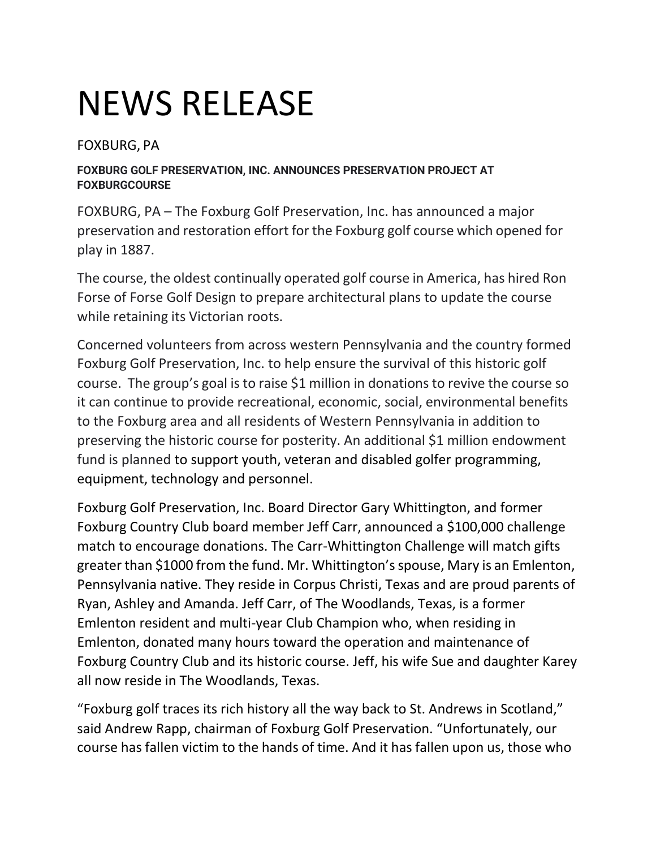## NEWS RELEASE

FOXBURG, PA

## **FOXBURG GOLF PRESERVATION, INC. ANNOUNCES PRESERVATION PROJECT AT FOXBURGCOURSE**

FOXBURG, PA – The Foxburg Golf Preservation, Inc. has announced a major preservation and restoration effort for the Foxburg golf course which opened for play in 1887.

The course, the oldest continually operated golf course in America, has hired Ron Forse of Forse Golf Design to prepare architectural plans to update the course while retaining its Victorian roots.

Concerned volunteers from across western Pennsylvania and the country formed Foxburg Golf Preservation, Inc. to help ensure the survival of this historic golf course. The group's goal is to raise \$1 million in donations to revive the course so it can continue to provide recreational, economic, social, environmental benefits to the Foxburg area and all residents of Western Pennsylvania in addition to preserving the historic course for posterity. An additional \$1 million endowment fund is planned to support youth, veteran and disabled golfer programming, equipment, technology and personnel.

Foxburg Golf Preservation, Inc. Board Director Gary Whittington, and former Foxburg Country Club board member Jeff Carr, announced a \$100,000 challenge match to encourage donations. The Carr-Whittington Challenge will match gifts greater than \$1000 from the fund. Mr. Whittington'sspouse, Mary is an Emlenton, Pennsylvania native. They reside in Corpus Christi, Texas and are proud parents of Ryan, Ashley and Amanda. Jeff Carr, of The Woodlands, Texas, is a former Emlenton resident and multi-year Club Champion who, when residing in Emlenton, donated many hours toward the operation and maintenance of Foxburg Country Club and its historic course. Jeff, his wife Sue and daughter Karey all now reside in The Woodlands, Texas.

"Foxburg golf traces its rich history all the way back to St. Andrews in Scotland," said Andrew Rapp, chairman of Foxburg Golf Preservation. "Unfortunately, our course has fallen victim to the hands of time. And it has fallen upon us, those who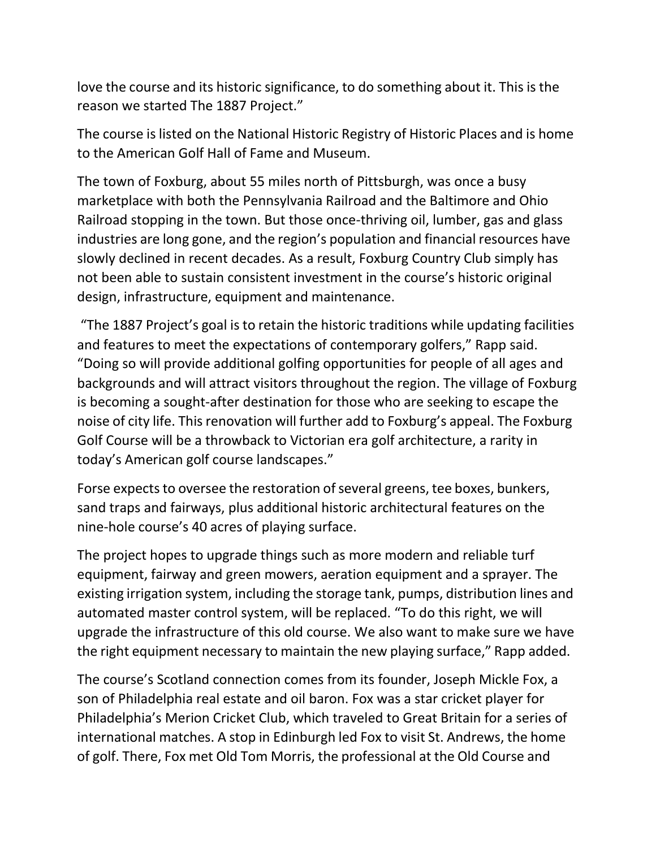love the course and its historic significance, to do something about it. This is the reason we started The 1887 Project."

The course is listed on the National Historic Registry of Historic Places and is home to the American Golf Hall of Fame and Museum.

The town of Foxburg, about 55 miles north of Pittsburgh, was once a busy marketplace with both the Pennsylvania Railroad and the Baltimore and Ohio Railroad stopping in the town. But those once-thriving oil, lumber, gas and glass industries are long gone, and the region's population and financial resources have slowly declined in recent decades. As a result, Foxburg Country Club simply has not been able to sustain consistent investment in the course's historic original design, infrastructure, equipment and maintenance.

"The 1887 Project's goal is to retain the historic traditions while updating facilities and features to meet the expectations of contemporary golfers," Rapp said. "Doing so will provide additional golfing opportunities for people of all ages and backgrounds and will attract visitors throughout the region. The village of Foxburg is becoming a sought-after destination for those who are seeking to escape the noise of city life. This renovation will further add to Foxburg's appeal. The Foxburg Golf Course will be a throwback to Victorian era golf architecture, a rarity in today's American golf course landscapes."

Forse expects to oversee the restoration of several greens, tee boxes, bunkers, sand traps and fairways, plus additional historic architectural features on the nine-hole course's 40 acres of playing surface.

The project hopes to upgrade things such as more modern and reliable turf equipment, fairway and green mowers, aeration equipment and a sprayer. The existing irrigation system, including the storage tank, pumps, distribution lines and automated master control system, will be replaced. "To do this right, we will upgrade the infrastructure of this old course. We also want to make sure we have the right equipment necessary to maintain the new playing surface," Rapp added.

The course's Scotland connection comes from its founder, Joseph Mickle Fox, a son of Philadelphia real estate and oil baron. Fox was a star cricket player for Philadelphia's Merion Cricket Club, which traveled to Great Britain for a series of international matches. A stop in Edinburgh led Fox to visit St. Andrews, the home of golf. There, Fox met Old Tom Morris, the professional at the Old Course and